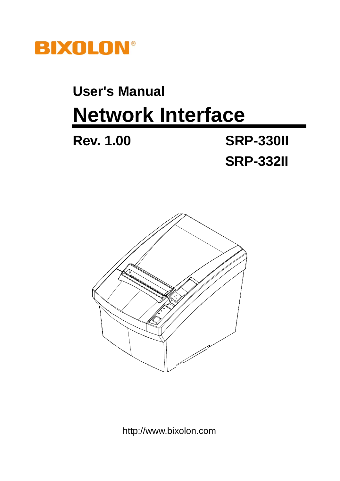

# **User's Manual Network Interface**

**Rev. 1.00 SRP-330II SRP-332II**



http://www.bixolon.com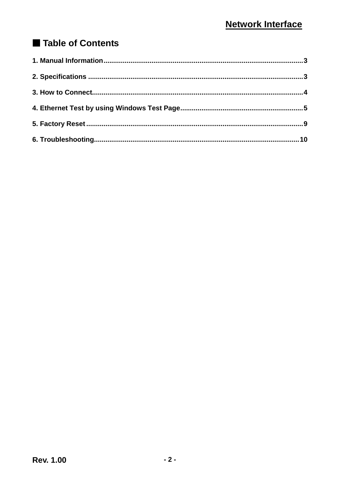# Table of Contents

<span id="page-1-0"></span>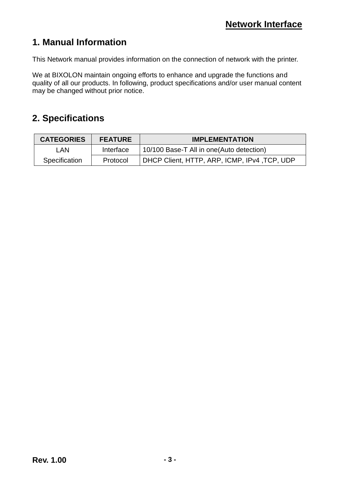# **1. Manual Information**

This Network manual provides information on the connection of network with the printer.

We at BIXOLON maintain ongoing efforts to enhance and upgrade the functions and quality of all our products. In following, product specifications and/or user manual content may be changed without prior notice.

## <span id="page-2-0"></span>**2. Specifications**

| <b>CATEGORIES</b> | <b>FEATURE</b> | <b>IMPLEMENTATION</b>                        |
|-------------------|----------------|----------------------------------------------|
| LAN.              | Interface      | 10/100 Base-T All in one (Auto detection)    |
| Specification     | Protocol       | DHCP Client, HTTP, ARP, ICMP, IPv4, TCP, UDP |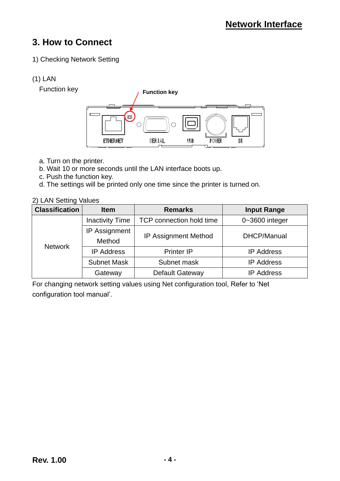# <span id="page-3-0"></span>**3. How to Connect**

#### 1) Checking Network Setting

#### (1) LAN

Function key



- a. Turn on the printer.
- b. Wait 10 or more seconds until the LAN interface boots up.
- c. Push the function key.
- d. The settings will be printed only one time since the printer is turned on.

#### 2) LAN Setting Values

| <b>Classification</b> | <b>Item</b>                    | <b>Remarks</b>              | <b>Input Range</b> |
|-----------------------|--------------------------------|-----------------------------|--------------------|
| <b>Network</b>        | <b>Inactivity Time</b>         | TCP connection hold time    | $0 - 3600$ integer |
|                       | <b>IP Assignment</b><br>Method | <b>IP Assignment Method</b> | DHCP/Manual        |
|                       | <b>IP Address</b>              | <b>Printer IP</b>           | <b>IP Address</b>  |
|                       | <b>Subnet Mask</b>             | Subnet mask                 | <b>IP Address</b>  |
|                       | Gateway                        | <b>Default Gateway</b>      | <b>IP Address</b>  |

For changing network setting values using Net configuration tool, Refer to "Net configuration tool manual".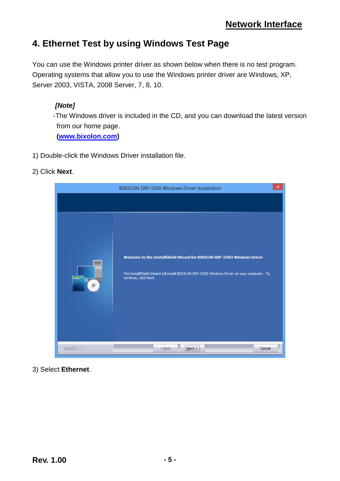### <span id="page-4-0"></span>**4. Ethernet Test by using Windows Test Page**

You can use the Windows printer driver as shown below when there is no test program. Operating systems that allow you to use the Windows printer driver are Windows, XP, Server 2003, VISTA, 2008 Server, 7, 8, 10.

#### *[Note]*

-The Windows driver is included in the CD, and you can download the latest version from our home page.

**[\(www.bixolon.com\)](http://www.bixolon.com/)**

1) Double-click the Windows Driver installation file.

#### 2) Click **Next**.



3) Select **Ethernet**.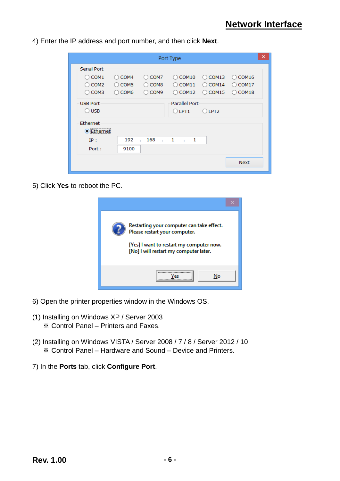4) Enter the IP address and port number, and then click **Next**.

|                                                                       |                                                       |                                             | Port Type                                                 |                                                                         |                                              | × |
|-----------------------------------------------------------------------|-------------------------------------------------------|---------------------------------------------|-----------------------------------------------------------|-------------------------------------------------------------------------|----------------------------------------------|---|
| Serial Port<br>COM <sub>1</sub><br>$\bigcirc$ COM2<br>$\bigcirc$ COM3 | COM4<br>Ω<br>COM <sub>5</sub><br>Ω<br>$\bigcirc$ COM6 | COM7<br>COM <sub>8</sub><br>$\bigcirc$ COM9 | COM <sub>10</sub><br>$(\ )$<br>COM11<br>Ω<br>COM12<br>( ) | COM <sub>13</sub><br>$\left( \right)$<br>COM14<br>Ω<br>$\bigcirc$ COM15 | COM16<br>(<br>COM17<br>Ο<br>$\bigcirc$ COM18 |   |
| <b>USB Port</b><br>$\bigcirc$ usb                                     |                                                       |                                             | <b>Parallel Port</b><br>$O$ LPT1                          | $O$ LPT2                                                                |                                              |   |
| Ethernet<br>,,,,,,,,,,,,,,,,,,,,,,,,,,,,<br>Ethernet<br>IP:<br>Port:  | 192<br>9100                                           | 168<br>$\ldots$ 1<br>$\mathbf{r}$           | $\ldots$ 1                                                |                                                                         |                                              |   |
|                                                                       |                                                       |                                             |                                                           |                                                                         | <b>Next</b>                                  |   |

5) Click **Yes** to reboot the PC.



- 6) Open the printer properties window in the Windows OS.
- (1) Installing on Windows XP / Server 2003 ※ Control Panel – Printers and Faxes.
- (2) Installing on Windows VISTA / Server 2008 / 7 / 8 / Server 2012 / 10 ※ Control Panel – Hardware and Sound – Device and Printers.
- 7) In the **Ports** tab, click **Configure Port**.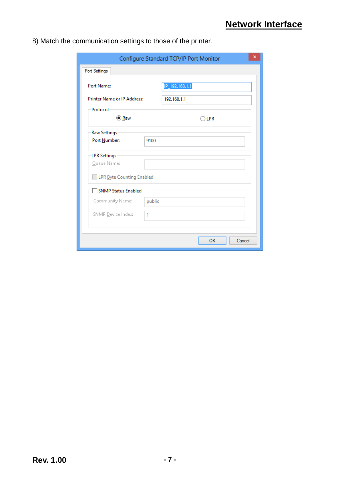8) Match the communication settings to those of the printer.

| Configure Standard TCP/IP Port Monitor |        |                |  |
|----------------------------------------|--------|----------------|--|
| Port Settings                          |        |                |  |
| Port Name:                             |        | IP_192.168.1.1 |  |
| Printer Name or IP Address:            |        | 192.168.1.1    |  |
| Protocol                               |        |                |  |
| <b>● Raw</b>                           |        | $\bigcirc$ LPR |  |
| <b>Raw Settings</b>                    |        |                |  |
| Port Number:                           | 9100   |                |  |
| <b>LPR Settings</b>                    |        |                |  |
| Queue Name:                            |        |                |  |
| LPR Byte Counting Enabled              |        |                |  |
| <b>SNMP Status Enabled</b>             |        |                |  |
| Community Name:                        | public |                |  |
| SNMP Device Index:                     | 1      |                |  |
|                                        |        |                |  |
|                                        |        | OK<br>Cancel   |  |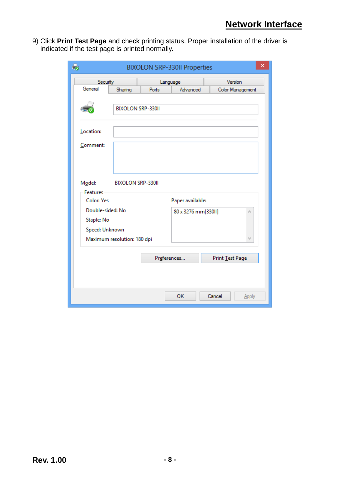9) Click **Print Test Page** and check printing status. Proper installation of the driver is indicated if the test page is printed normally.

| ×<br>t.<br><b>BIXOLON SRP-330II Properties</b> |                             |       |                     |                  |
|------------------------------------------------|-----------------------------|-------|---------------------|------------------|
|                                                | Security<br>Language        |       |                     | Version          |
| General                                        | Sharing                     | Ports | Advanced            | Color Management |
|                                                | <b>BIXOLON SRP-330II</b>    |       |                     |                  |
| Location:                                      |                             |       |                     |                  |
| Comment:                                       |                             |       |                     |                  |
| Model:                                         | <b>BIXOLON SRP-330II</b>    |       |                     |                  |
| <b>Features</b><br><b>Color: Yes</b>           |                             |       | Paper available:    |                  |
| Double-sided: No                               |                             |       | 80 x 3276 mm[330ll] | ٨                |
| Staple: No                                     |                             |       |                     |                  |
| Speed: Unknown                                 |                             |       |                     |                  |
|                                                | Maximum resolution: 180 dpi |       |                     | v                |
|                                                |                             |       | Preferences         | Print Test Page  |
|                                                |                             |       |                     |                  |
|                                                |                             |       | OK                  | Cancel<br>Apply  |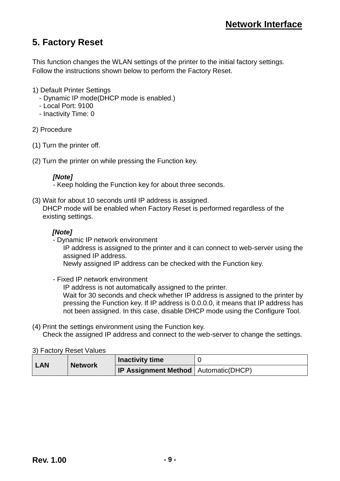# <span id="page-8-0"></span>**5. Factory Reset**

This function changes the WLAN settings of the printer to the initial factory settings. Follow the instructions shown below to perform the Factory Reset.

- 1) Default Printer Settings
	- Dynamic IP mode(DHCP mode is enabled.)
	- Local Port: 9100
	- Inactivity Time: 0
- 2) Procedure
- (1) Turn the printer off.
- (2) Turn the printer on while pressing the Function key.

#### *[Note]*

- Keep holding the Function key for about three seconds.

(3) Wait for about 10 seconds until IP address is assigned. DHCP mode will be enabled when Factory Reset is performed regardless of the existing settings.

#### *[Note]*

- Dynamic IP network environment

 IP address is assigned to the printer and it can connect to web-server using the assigned IP address.

Newly assigned IP address can be checked with the Function key.

- Fixed IP network environment

 IP address is not automatically assigned to the printer. Wait for 30 seconds and check whether IP address is assigned to the printer by pressing the Function key. If IP address is 0.0.0.0, it means that IP address has not been assigned. In this case, disable DHCP mode using the Configure Tool.

(4) Print the settings environment using the Function key. Check the assigned IP address and connect to the web-server to change the settings.

3) Factory Reset Values

| <b>LAN</b> | <b>Network</b> | <b>Inactivity time</b>                        |  |
|------------|----------------|-----------------------------------------------|--|
|            |                | <b>IP Assignment Method</b>   Automatic(DHCP) |  |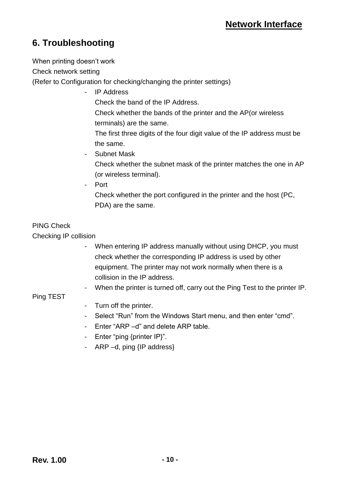# <span id="page-9-0"></span>**6. Troubleshooting**

When printing doesn't work

Check network setting

(Refer to Configuration for checking/changing the printer settings)

- IP Address Check the band of the IP Address. Check whether the bands of the printer and the AP(or wireless terminals) are the same. The first three digits of the four digit value of the IP address must be the same. - Subnet Mask

Check whether the subnet mask of the printer matches the one in AP (or wireless terminal).

- Port

Check whether the port configured in the printer and the host (PC, PDA) are the same.

#### PING Check

Checking IP collision

- When entering IP address manually without using DHCP, you must check whether the corresponding IP address is used by other equipment. The printer may not work normally when there is a collision in the IP address.
- When the printer is turned off, carry out the Ping Test to the printer IP.

#### Ping TEST

- Turn off the printer.
- Select "Run" from the Windows Start menu, and then enter "cmd".
- Enter "ARP –d" and delete ARP table.
- Enter "ping {printer IP}".
- ARP –d, ping {IP address}